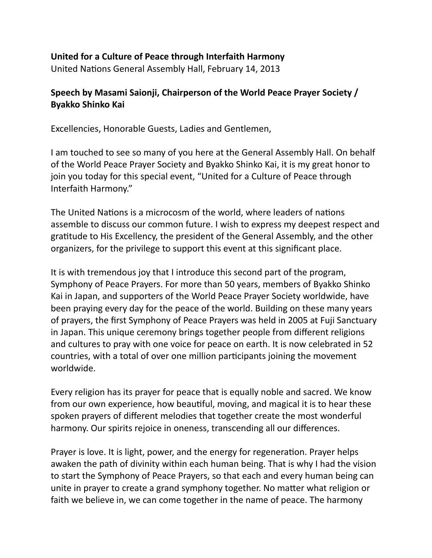## United for a Culture of Peace through Interfaith Harmony

United Nations General Assembly Hall, February 14, 2013

## Speech by Masami Saionji, Chairperson of the World Peace Prayer Society / **Byakko'Shinko'Kai**

Excellencies, Honorable Guests, Ladies and Gentlemen,

I am touched to see so many of you here at the General Assembly Hall. On behalf of the World Peace Prayer Society and Byakko Shinko Kai, it is my great honor to join you today for this special event, "United for a Culture of Peace through Interfaith Harmony."

The United Nations is a microcosm of the world, where leaders of nations assemble to discuss our common future. I wish to express my deepest respect and gratitude to His Excellency, the president of the General Assembly, and the other organizers, for the privilege to support this event at this significant place.

It is with tremendous joy that I introduce this second part of the program, Symphony of Peace Prayers. For more than 50 years, members of Byakko Shinko Kai in Japan, and supporters of the World Peace Prayer Society worldwide, have been praying every day for the peace of the world. Building on these many years of prayers, the first Symphony of Peace Prayers was held in 2005 at Fuji Sanctuary in Japan. This unique ceremony brings together people from different religions and cultures to pray with one voice for peace on earth. It is now celebrated in 52 countries, with a total of over one million participants joining the movement worldwide.

Every religion has its prayer for peace that is equally noble and sacred. We know from our own experience, how beautiful, moving, and magical it is to hear these spoken prayers of different melodies that together create the most wonderful harmony. Our spirits rejoice in oneness, transcending all our differences.

Prayer is love. It is light, power, and the energy for regeneration. Prayer helps awaken the path of divinity within each human being. That is why I had the vision to start the Symphony of Peace Prayers, so that each and every human being can unite in prayer to create a grand symphony together. No matter what religion or faith we believe in, we can come together in the name of peace. The harmony